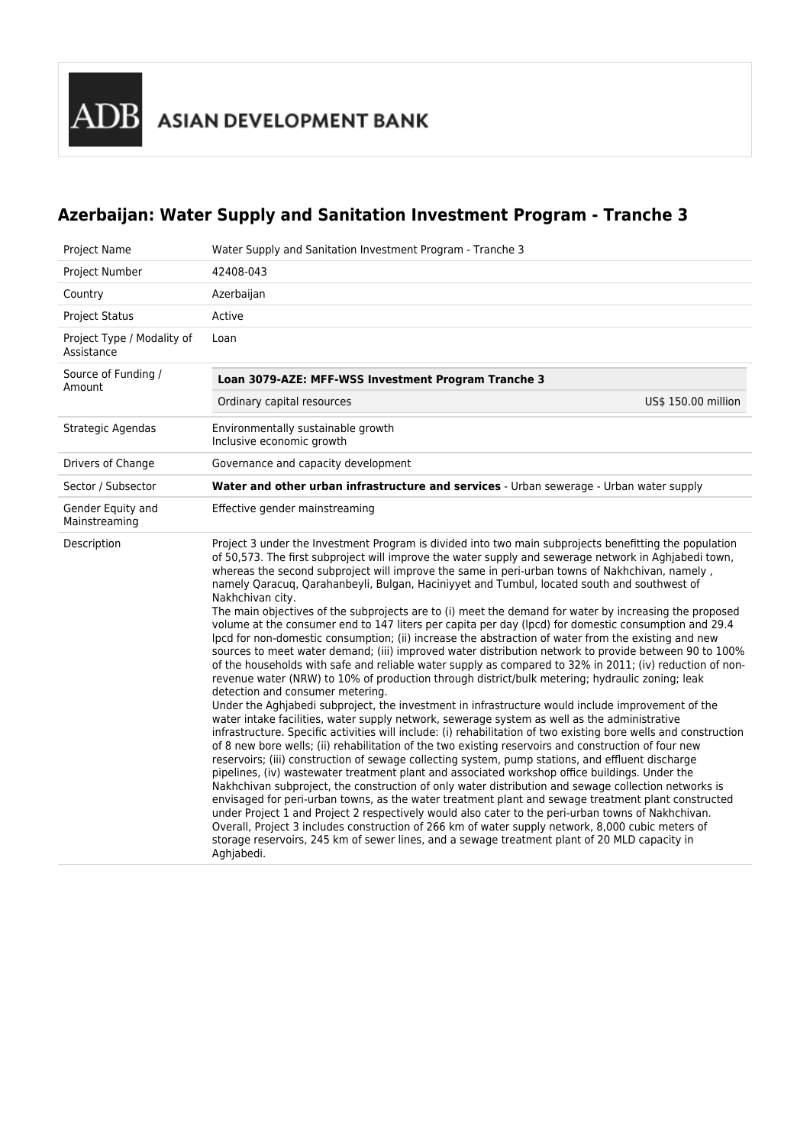# **Azerbaijan: Water Supply and Sanitation Investment Program - Tranche 3**

| Project Name                             | Water Supply and Sanitation Investment Program - Tranche 3                                                                                                                                                                                                                                                                                                                                                                                                                                                                                                                                                                                                                                                                                                                                                                                                                                                                                                                                                                                                                                                                                                                                                                                                                                                                                                                                                                                                                                                                                                                                                                                                                                                                                                                                                                                                                                                                                                                                                                                                                                                                                                                                                                                                                                   |                     |  |
|------------------------------------------|----------------------------------------------------------------------------------------------------------------------------------------------------------------------------------------------------------------------------------------------------------------------------------------------------------------------------------------------------------------------------------------------------------------------------------------------------------------------------------------------------------------------------------------------------------------------------------------------------------------------------------------------------------------------------------------------------------------------------------------------------------------------------------------------------------------------------------------------------------------------------------------------------------------------------------------------------------------------------------------------------------------------------------------------------------------------------------------------------------------------------------------------------------------------------------------------------------------------------------------------------------------------------------------------------------------------------------------------------------------------------------------------------------------------------------------------------------------------------------------------------------------------------------------------------------------------------------------------------------------------------------------------------------------------------------------------------------------------------------------------------------------------------------------------------------------------------------------------------------------------------------------------------------------------------------------------------------------------------------------------------------------------------------------------------------------------------------------------------------------------------------------------------------------------------------------------------------------------------------------------------------------------------------------------|---------------------|--|
| Project Number                           | 42408-043                                                                                                                                                                                                                                                                                                                                                                                                                                                                                                                                                                                                                                                                                                                                                                                                                                                                                                                                                                                                                                                                                                                                                                                                                                                                                                                                                                                                                                                                                                                                                                                                                                                                                                                                                                                                                                                                                                                                                                                                                                                                                                                                                                                                                                                                                    |                     |  |
| Country                                  | Azerbaijan                                                                                                                                                                                                                                                                                                                                                                                                                                                                                                                                                                                                                                                                                                                                                                                                                                                                                                                                                                                                                                                                                                                                                                                                                                                                                                                                                                                                                                                                                                                                                                                                                                                                                                                                                                                                                                                                                                                                                                                                                                                                                                                                                                                                                                                                                   |                     |  |
| <b>Project Status</b>                    | Active                                                                                                                                                                                                                                                                                                                                                                                                                                                                                                                                                                                                                                                                                                                                                                                                                                                                                                                                                                                                                                                                                                                                                                                                                                                                                                                                                                                                                                                                                                                                                                                                                                                                                                                                                                                                                                                                                                                                                                                                                                                                                                                                                                                                                                                                                       |                     |  |
| Project Type / Modality of<br>Assistance | Loan                                                                                                                                                                                                                                                                                                                                                                                                                                                                                                                                                                                                                                                                                                                                                                                                                                                                                                                                                                                                                                                                                                                                                                                                                                                                                                                                                                                                                                                                                                                                                                                                                                                                                                                                                                                                                                                                                                                                                                                                                                                                                                                                                                                                                                                                                         |                     |  |
| Source of Funding /<br>Amount            | Loan 3079-AZE: MFF-WSS Investment Program Tranche 3                                                                                                                                                                                                                                                                                                                                                                                                                                                                                                                                                                                                                                                                                                                                                                                                                                                                                                                                                                                                                                                                                                                                                                                                                                                                                                                                                                                                                                                                                                                                                                                                                                                                                                                                                                                                                                                                                                                                                                                                                                                                                                                                                                                                                                          |                     |  |
|                                          | Ordinary capital resources                                                                                                                                                                                                                                                                                                                                                                                                                                                                                                                                                                                                                                                                                                                                                                                                                                                                                                                                                                                                                                                                                                                                                                                                                                                                                                                                                                                                                                                                                                                                                                                                                                                                                                                                                                                                                                                                                                                                                                                                                                                                                                                                                                                                                                                                   | US\$ 150.00 million |  |
| Strategic Agendas                        | Environmentally sustainable growth<br>Inclusive economic growth                                                                                                                                                                                                                                                                                                                                                                                                                                                                                                                                                                                                                                                                                                                                                                                                                                                                                                                                                                                                                                                                                                                                                                                                                                                                                                                                                                                                                                                                                                                                                                                                                                                                                                                                                                                                                                                                                                                                                                                                                                                                                                                                                                                                                              |                     |  |
| Drivers of Change                        | Governance and capacity development                                                                                                                                                                                                                                                                                                                                                                                                                                                                                                                                                                                                                                                                                                                                                                                                                                                                                                                                                                                                                                                                                                                                                                                                                                                                                                                                                                                                                                                                                                                                                                                                                                                                                                                                                                                                                                                                                                                                                                                                                                                                                                                                                                                                                                                          |                     |  |
| Sector / Subsector                       | Water and other urban infrastructure and services - Urban sewerage - Urban water supply                                                                                                                                                                                                                                                                                                                                                                                                                                                                                                                                                                                                                                                                                                                                                                                                                                                                                                                                                                                                                                                                                                                                                                                                                                                                                                                                                                                                                                                                                                                                                                                                                                                                                                                                                                                                                                                                                                                                                                                                                                                                                                                                                                                                      |                     |  |
| Gender Equity and<br>Mainstreaming       | Effective gender mainstreaming                                                                                                                                                                                                                                                                                                                                                                                                                                                                                                                                                                                                                                                                                                                                                                                                                                                                                                                                                                                                                                                                                                                                                                                                                                                                                                                                                                                                                                                                                                                                                                                                                                                                                                                                                                                                                                                                                                                                                                                                                                                                                                                                                                                                                                                               |                     |  |
| Description                              | Project 3 under the Investment Program is divided into two main subprojects benefitting the population<br>of 50,573. The first subproject will improve the water supply and sewerage network in Aghjabedi town,<br>whereas the second subproject will improve the same in peri-urban towns of Nakhchivan, namely,<br>namely Qaracuq, Qarahanbeyli, Bulgan, Haciniyyet and Tumbul, located south and southwest of<br>Nakhchivan city.<br>The main objectives of the subprojects are to (i) meet the demand for water by increasing the proposed<br>volume at the consumer end to 147 liters per capita per day (lpcd) for domestic consumption and 29.4<br>lpcd for non-domestic consumption; (ii) increase the abstraction of water from the existing and new<br>sources to meet water demand; (iii) improved water distribution network to provide between 90 to 100%<br>of the households with safe and reliable water supply as compared to 32% in 2011; (iv) reduction of non-<br>revenue water (NRW) to 10% of production through district/bulk metering; hydraulic zoning; leak<br>detection and consumer metering.<br>Under the Aghjabedi subproject, the investment in infrastructure would include improvement of the<br>water intake facilities, water supply network, sewerage system as well as the administrative<br>infrastructure. Specific activities will include: (i) rehabilitation of two existing bore wells and construction<br>of 8 new bore wells; (ii) rehabilitation of the two existing reservoirs and construction of four new<br>reservoirs; (iii) construction of sewage collecting system, pump stations, and effluent discharge<br>pipelines, (iv) wastewater treatment plant and associated workshop office buildings. Under the<br>Nakhchivan subproject, the construction of only water distribution and sewage collection networks is<br>envisaged for peri-urban towns, as the water treatment plant and sewage treatment plant constructed<br>under Project 1 and Project 2 respectively would also cater to the peri-urban towns of Nakhchivan.<br>Overall, Project 3 includes construction of 266 km of water supply network, 8,000 cubic meters of<br>storage reservoirs, 245 km of sewer lines, and a sewage treatment plant of 20 MLD capacity in |                     |  |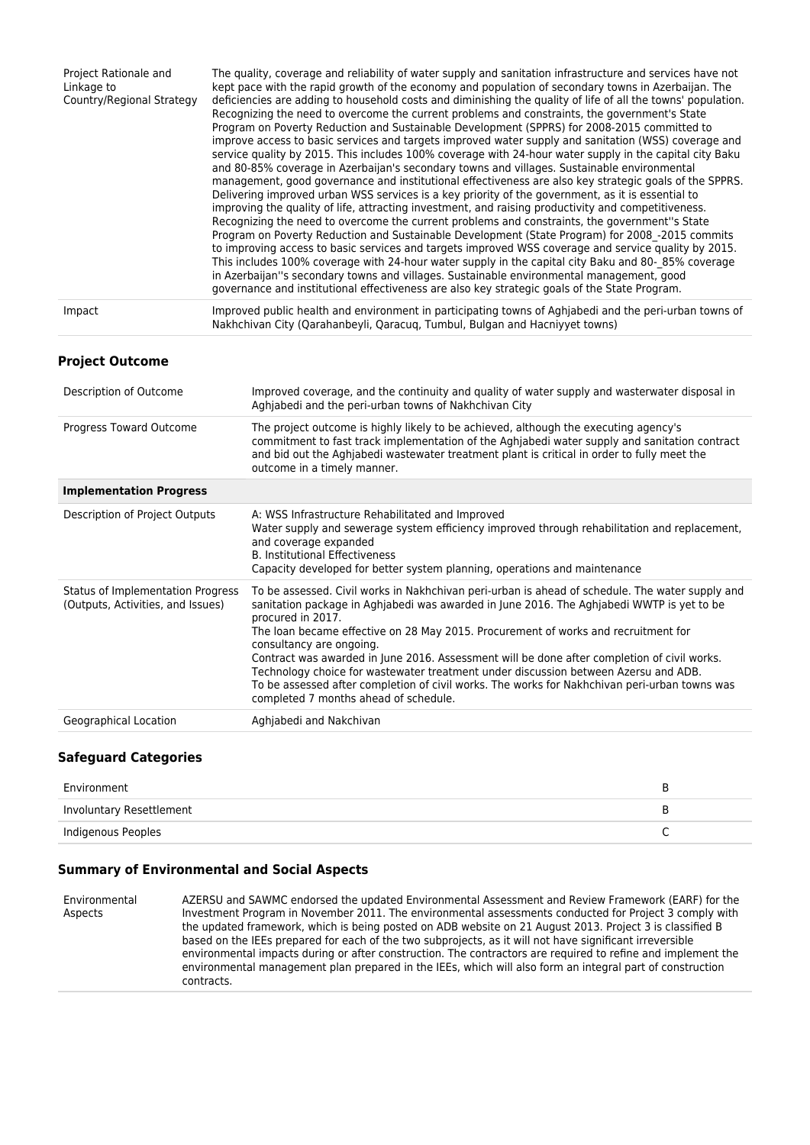| Project Rationale and<br>Linkage to<br>Country/Regional Strategy | The quality, coverage and reliability of water supply and sanitation infrastructure and services have not<br>kept pace with the rapid growth of the economy and population of secondary towns in Azerbaijan. The<br>deficiencies are adding to household costs and diminishing the quality of life of all the towns' population.<br>Recognizing the need to overcome the current problems and constraints, the government's State<br>Program on Poverty Reduction and Sustainable Development (SPPRS) for 2008-2015 committed to<br>improve access to basic services and targets improved water supply and sanitation (WSS) coverage and<br>service quality by 2015. This includes 100% coverage with 24-hour water supply in the capital city Baku<br>and 80-85% coverage in Azerbaijan's secondary towns and villages. Sustainable environmental<br>management, good governance and institutional effectiveness are also key strategic goals of the SPPRS.<br>Delivering improved urban WSS services is a key priority of the government, as it is essential to<br>improving the quality of life, attracting investment, and raising productivity and competitiveness.<br>Recognizing the need to overcome the current problems and constraints, the government"s State<br>Program on Poverty Reduction and Sustainable Development (State Program) for 2008 -2015 commits<br>to improving access to basic services and targets improved WSS coverage and service quality by 2015.<br>This includes 100% coverage with 24-hour water supply in the capital city Baku and 80-85% coverage<br>in Azerbaijan"s secondary towns and villages. Sustainable environmental management, good<br>governance and institutional effectiveness are also key strategic goals of the State Program. |
|------------------------------------------------------------------|-----------------------------------------------------------------------------------------------------------------------------------------------------------------------------------------------------------------------------------------------------------------------------------------------------------------------------------------------------------------------------------------------------------------------------------------------------------------------------------------------------------------------------------------------------------------------------------------------------------------------------------------------------------------------------------------------------------------------------------------------------------------------------------------------------------------------------------------------------------------------------------------------------------------------------------------------------------------------------------------------------------------------------------------------------------------------------------------------------------------------------------------------------------------------------------------------------------------------------------------------------------------------------------------------------------------------------------------------------------------------------------------------------------------------------------------------------------------------------------------------------------------------------------------------------------------------------------------------------------------------------------------------------------------------------------------------------------------------------------------------------------------------------------------|
| Impact                                                           | Improved public health and environment in participating towns of Aghjabedi and the peri-urban towns of<br>Nakhchivan City (Qarahanbeyli, Qaracuq, Tumbul, Bulgan and Hacniyyet towns)                                                                                                                                                                                                                                                                                                                                                                                                                                                                                                                                                                                                                                                                                                                                                                                                                                                                                                                                                                                                                                                                                                                                                                                                                                                                                                                                                                                                                                                                                                                                                                                                   |

#### **Project Outcome**

| Description of Outcome                                                 | Improved coverage, and the continuity and quality of water supply and wasterwater disposal in<br>Aghiabedi and the peri-urban towns of Nakhchivan City                                                                                                                                                                                                                                                                                                                                                                                                                                                                                                              |
|------------------------------------------------------------------------|---------------------------------------------------------------------------------------------------------------------------------------------------------------------------------------------------------------------------------------------------------------------------------------------------------------------------------------------------------------------------------------------------------------------------------------------------------------------------------------------------------------------------------------------------------------------------------------------------------------------------------------------------------------------|
| Progress Toward Outcome                                                | The project outcome is highly likely to be achieved, although the executing agency's<br>commitment to fast track implementation of the Aghjabedi water supply and sanitation contract<br>and bid out the Aghjabedi wastewater treatment plant is critical in order to fully meet the<br>outcome in a timely manner.                                                                                                                                                                                                                                                                                                                                                 |
| <b>Implementation Progress</b>                                         |                                                                                                                                                                                                                                                                                                                                                                                                                                                                                                                                                                                                                                                                     |
| Description of Project Outputs                                         | A: WSS Infrastructure Rehabilitated and Improved<br>Water supply and sewerage system efficiency improved through rehabilitation and replacement,<br>and coverage expanded<br><b>B. Institutional Effectiveness</b><br>Capacity developed for better system planning, operations and maintenance                                                                                                                                                                                                                                                                                                                                                                     |
| Status of Implementation Progress<br>(Outputs, Activities, and Issues) | To be assessed. Civil works in Nakhchivan peri-urban is ahead of schedule. The water supply and<br>sanitation package in Aghjabedi was awarded in June 2016. The Aghjabedi WWTP is yet to be<br>procured in 2017.<br>The loan became effective on 28 May 2015. Procurement of works and recruitment for<br>consultancy are ongoing.<br>Contract was awarded in June 2016. Assessment will be done after completion of civil works.<br>Technology choice for wastewater treatment under discussion between Azersu and ADB.<br>To be assessed after completion of civil works. The works for Nakhchivan peri-urban towns was<br>completed 7 months ahead of schedule. |
| Geographical Location                                                  | Aghjabedi and Nakchivan                                                                                                                                                                                                                                                                                                                                                                                                                                                                                                                                                                                                                                             |

### **Safeguard Categories**

| Environment              |  |
|--------------------------|--|
| Involuntary Resettlement |  |
| Indigenous Peoples       |  |

### **Summary of Environmental and Social Aspects**

Environmental Aspects AZERSU and SAWMC endorsed the updated Environmental Assessment and Review Framework (EARF) for the Investment Program in November 2011. The environmental assessments conducted for Project 3 comply with the updated framework, which is being posted on ADB website on 21 August 2013. Project 3 is classified B based on the IEEs prepared for each of the two subprojects, as it will not have significant irreversible environmental impacts during or after construction. The contractors are required to refine and implement the environmental management plan prepared in the IEEs, which will also form an integral part of construction contracts.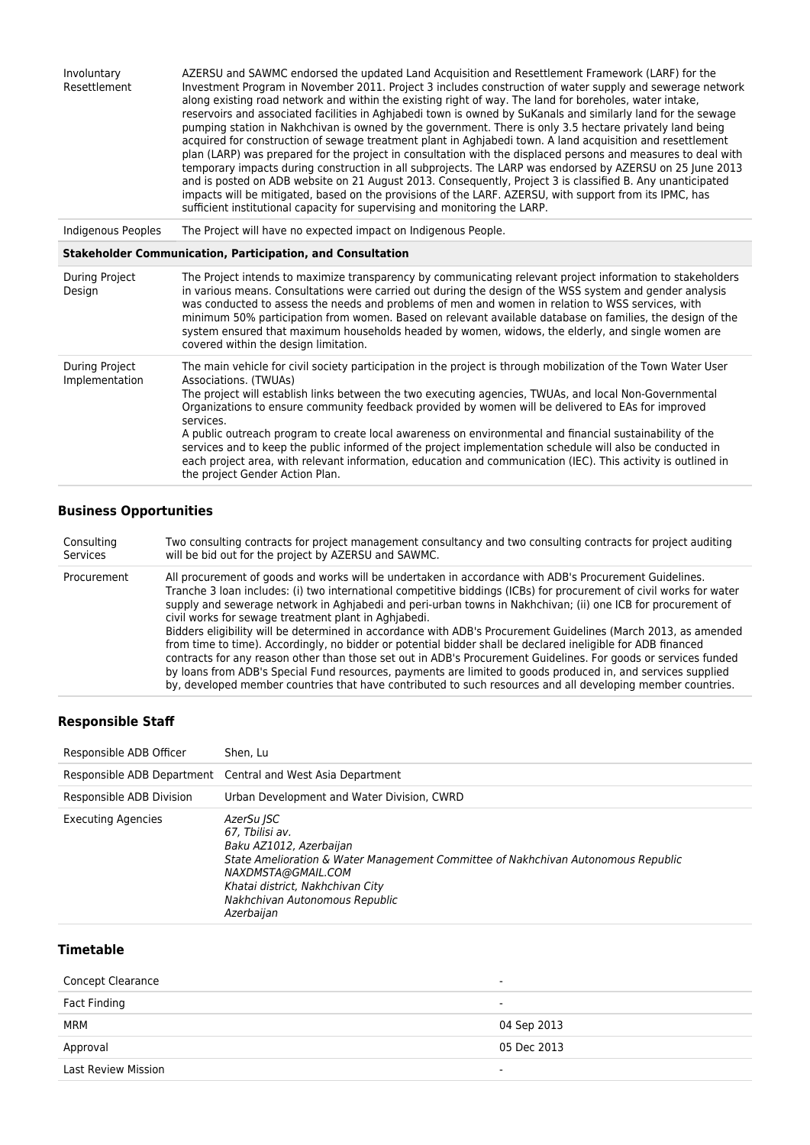| Involuntary<br>Resettlement      | AZERSU and SAWMC endorsed the updated Land Acquisition and Resettlement Framework (LARF) for the<br>Investment Program in November 2011. Project 3 includes construction of water supply and sewerage network<br>along existing road network and within the existing right of way. The land for boreholes, water intake,<br>reservoirs and associated facilities in Aghjabedi town is owned by SuKanals and similarly land for the sewage<br>pumping station in Nakhchivan is owned by the government. There is only 3.5 hectare privately land being<br>acquired for construction of sewage treatment plant in Aghjabedi town. A land acquisition and resettlement<br>plan (LARP) was prepared for the project in consultation with the displaced persons and measures to deal with<br>temporary impacts during construction in all subprojects. The LARP was endorsed by AZERSU on 25 June 2013<br>and is posted on ADB website on 21 August 2013. Consequently, Project 3 is classified B. Any unanticipated<br>impacts will be mitigated, based on the provisions of the LARF. AZERSU, with support from its IPMC, has<br>sufficient institutional capacity for supervising and monitoring the LARP. |
|----------------------------------|----------------------------------------------------------------------------------------------------------------------------------------------------------------------------------------------------------------------------------------------------------------------------------------------------------------------------------------------------------------------------------------------------------------------------------------------------------------------------------------------------------------------------------------------------------------------------------------------------------------------------------------------------------------------------------------------------------------------------------------------------------------------------------------------------------------------------------------------------------------------------------------------------------------------------------------------------------------------------------------------------------------------------------------------------------------------------------------------------------------------------------------------------------------------------------------------------------|
| <b>Indigenous Peoples</b>        | The Project will have no expected impact on Indigenous People.                                                                                                                                                                                                                                                                                                                                                                                                                                                                                                                                                                                                                                                                                                                                                                                                                                                                                                                                                                                                                                                                                                                                           |
|                                  | <b>Stakeholder Communication, Participation, and Consultation</b>                                                                                                                                                                                                                                                                                                                                                                                                                                                                                                                                                                                                                                                                                                                                                                                                                                                                                                                                                                                                                                                                                                                                        |
| During Project<br>Design         | The Project intends to maximize transparency by communicating relevant project information to stakeholders<br>in various means. Consultations were carried out during the design of the WSS system and gender analysis<br>was conducted to assess the needs and problems of men and women in relation to WSS services, with<br>minimum 50% participation from women. Based on relevant available database on families, the design of the<br>system ensured that maximum households headed by women, widows, the elderly, and single women are<br>covered within the design limitation.                                                                                                                                                                                                                                                                                                                                                                                                                                                                                                                                                                                                                   |
| During Project<br>Implementation | The main vehicle for civil society participation in the project is through mobilization of the Town Water User<br>Associations. (TWUAs)<br>The project will establish links between the two executing agencies, TWUAs, and local Non-Governmental<br>Organizations to ensure community feedback provided by women will be delivered to EAs for improved<br>services.<br>A public outreach program to create local awareness on environmental and financial sustainability of the<br>services and to keep the public informed of the project implementation schedule will also be conducted in<br>each project area, with relevant information, education and communication (IEC). This activity is outlined in<br>the project Gender Action Plan.                                                                                                                                                                                                                                                                                                                                                                                                                                                        |

## **Business Opportunities**

| Consulting  | Two consulting contracts for project management consultancy and two consulting contracts for project auditing                                                                                                                                                                                                                                                                                                                                                                                                                                                                                                                                                                                                                                                                                                                                                                                                                                                                             |
|-------------|-------------------------------------------------------------------------------------------------------------------------------------------------------------------------------------------------------------------------------------------------------------------------------------------------------------------------------------------------------------------------------------------------------------------------------------------------------------------------------------------------------------------------------------------------------------------------------------------------------------------------------------------------------------------------------------------------------------------------------------------------------------------------------------------------------------------------------------------------------------------------------------------------------------------------------------------------------------------------------------------|
| Services    | will be bid out for the project by AZERSU and SAWMC.                                                                                                                                                                                                                                                                                                                                                                                                                                                                                                                                                                                                                                                                                                                                                                                                                                                                                                                                      |
| Procurement | All procurement of goods and works will be undertaken in accordance with ADB's Procurement Guidelines.<br>Tranche 3 Ioan includes: (i) two international competitive biddings (ICBs) for procurement of civil works for water<br>supply and sewerage network in Aghjabedi and peri-urban towns in Nakhchivan; (ii) one ICB for procurement of<br>civil works for sewage treatment plant in Aghiabedi.<br>Bidders eligibility will be determined in accordance with ADB's Procurement Guidelines (March 2013, as amended<br>from time to time). Accordingly, no bidder or potential bidder shall be declared ineligible for ADB financed<br>contracts for any reason other than those set out in ADB's Procurement Guidelines. For goods or services funded<br>by loans from ADB's Special Fund resources, payments are limited to goods produced in, and services supplied<br>by, developed member countries that have contributed to such resources and all developing member countries. |

### **Responsible Staff**

| Responsible ADB Officer   | Shen. Lu                                                                                                                                                                                                                                                |
|---------------------------|---------------------------------------------------------------------------------------------------------------------------------------------------------------------------------------------------------------------------------------------------------|
|                           | Responsible ADB Department Central and West Asia Department                                                                                                                                                                                             |
| Responsible ADB Division  | Urban Development and Water Division, CWRD                                                                                                                                                                                                              |
| <b>Executing Agencies</b> | AzerSu ISC<br>67. Tbilisi av.<br>Baku AZ1012, Azerbaijan<br>State Amelioration & Water Management Committee of Nakhchivan Autonomous Republic<br>NAXDMSTA@GMAIL.COM<br>Khatai district, Nakhchivan City<br>Nakhchivan Autonomous Republic<br>Azerbaijan |

### **Timetable**

| Concept Clearance<br>$\sim$ |             |
|-----------------------------|-------------|
| <b>Fact Finding</b>         | $\sim$      |
| MRM                         | 04 Sep 2013 |
| Approval                    | 05 Dec 2013 |
| <b>Last Review Mission</b>  | $\sim$      |